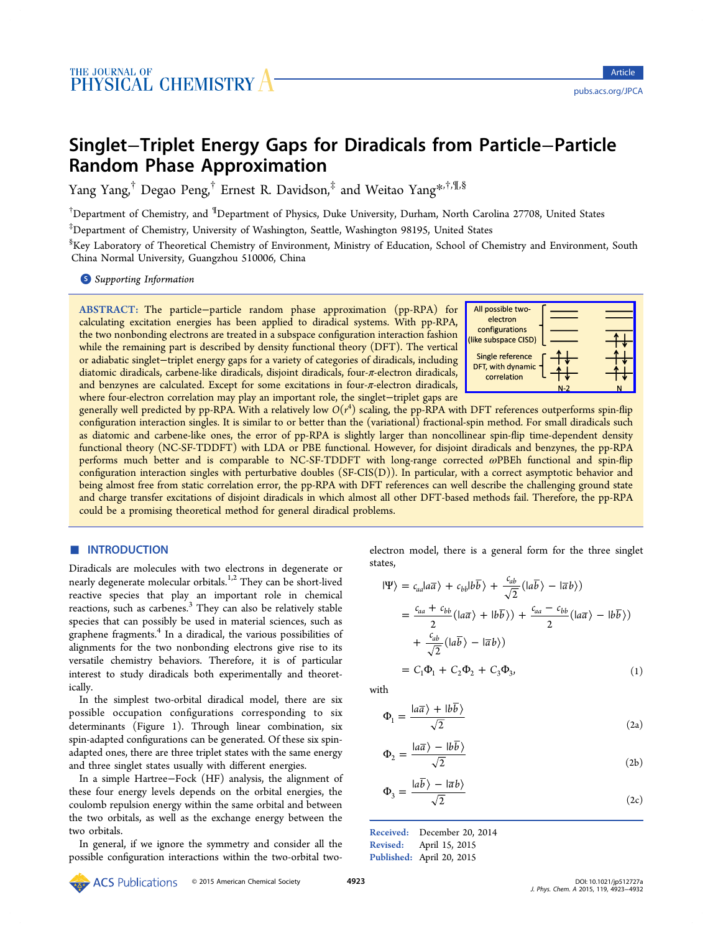# <span id="page-0-0"></span>Singlet−Triplet Energy Gaps for Diradicals from Particle−Particle Random Phase Approximation

Yang Yang,<sup>†</sup> Degao Peng,<sup>†</sup> Ernest R. Davidson,<sup>‡</sup> and Weitao Yang<sup>\*,†,¶,§</sup>

 $^\dagger$ Department of Chemistry, and  $^\P$ Department of Physics, Duke University, Durham[, N](#page-6-0)orth Carolina 27708, United States

‡ Department of Chemistry, University of Washington, Seattle, Washington 98195, United States

 $^{\S}$ Key Laboratory of Theoretical Chemistry of Environment, Ministry of Education, School of Chemistry and Environment, South China Normal University, Guangzhou 510006, China

**S** Supporting Information

[AB](#page-6-0)STRACT: [The particle](#page-6-0)−particle random phase approximation (pp-RPA) for calculating excitation energies has been applied to diradical systems. With pp-RPA, the two nonbonding electrons are treated in a subspace configuration interaction fashion while the remaining part is described by density functional theory (DFT). The vertical or adiabatic singlet−triplet energy gaps for a variety of categories of diradicals, including diatomic diradicals, carbene-like diradicals, disjoint diradicals, four-π-electron diradicals, and benzynes are calculated. Except for some excitations in four- $\pi$ -electron diradicals, where four-electron correlation may play an important role, the singlet−triplet gaps are



generally well predicted by pp-RPA. With a relatively low  $O(r^4)$  scaling, the pp-RPA with [DFT references outperforms spin-](http://pubs.acs.org/action/showImage?doi=10.1021/jp512727a&iName=master.img-000.png&w=144&h=75)flip configuration interaction singles. It is similar to or better than the (variational) fractional-spin method. For small diradicals such as diatomic and carbene-like ones, the error of pp-RPA is slightly larger than noncollinear spin-flip time-dependent density functional theory (NC-SF-TDDFT) with LDA or PBE functional. However, for disjoint diradicals and benzynes, the pp-RPA performs much better and is comparable to NC-SF-TDDFT with long-range corrected ωPBEh functional and spin-flip configuration interaction singles with perturbative doubles (SF-CIS(D)). In particular, with a correct asymptotic behavior and being almost free from static correlation error, the pp-RPA with DFT references can well describe the challenging ground state and charge transfer excitations of disjoint diradicals in which almost all other DFT-based methods fail. Therefore, the pp-RPA could be a promising theoretical method for general diradical problems.

## **■ INTRODUCTION**

Diradicals are molecules with two electrons in degenerate or nearly degenerate molecular orbitals.<sup>1,2</sup> They can be short-lived reactive species that play an important role in chemical reactions, such as carbenes.<sup>3</sup> They c[an](#page-6-0) also be relatively stable species that can possibly be used in material sciences, such as graphene fragments.<sup>4</sup> In a [di](#page-6-0)radical, the various possibilities of alignments for the two nonbonding electrons give rise to its versatile chemistry [b](#page-7-0)ehaviors. Therefore, it is of particular interest to study diradicals both experimentally and theoretically.

In the simplest two-orbital diradical model, there are six possible occupation configurations corresponding to six determinants (Figure 1). Through linear combination, six spin-adapted configurations can be generated. Of these six spinadapted ones, there are [th](#page-1-0)ree triplet states with the same energy and three singlet states usually with different energies.

In a simple Hartree−Fock (HF) analysis, the alignment of these four energy levels depends on the orbital energies, the coulomb repulsion energy within the same orbital and between the two orbitals, as well as the exchange energy between the two orbitals.

In general, if we ignore the symmetry and consider all the possible configuration interactions within the two-orbital twoelectron model, there is a general form for the three singlet states,

$$
|\Psi\rangle = c_{aa} |a\overline{a}\rangle + c_{bb} |b\overline{b}\rangle + \frac{c_{ab}}{\sqrt{2}} (|a\overline{b}\rangle - |\overline{a}b\rangle)
$$
  
=  $\frac{c_{aa} + c_{bb}}{2} (|a\overline{a}\rangle + |b\overline{b}\rangle) + \frac{c_{aa} - c_{bb}}{2} (|a\overline{a}\rangle - |b\overline{b}\rangle)$   
+  $\frac{c_{ab}}{\sqrt{2}} (|a\overline{b}\rangle - |\overline{a}b\rangle)$   
=  $C_1 \Phi_1 + C_2 \Phi_2 + C_3 \Phi_3,$  (1)

with

$$
\Phi_1 = \frac{a\overline{a}\lambda + b\overline{b}\lambda}{\sqrt{2}}
$$
\n(2a)

$$
\Phi_2 = \frac{|a\overline{a}\rangle - |b\overline{b}\rangle}{\sqrt{2}}\tag{2b}
$$

$$
\Phi_3 = \frac{|a\overline{b}\rangle - |\overline{a}b\rangle}{\sqrt{2}}\tag{2c}
$$

Received: December 20, 2014 Revised: April 15, 2015 Published: April 20, 2015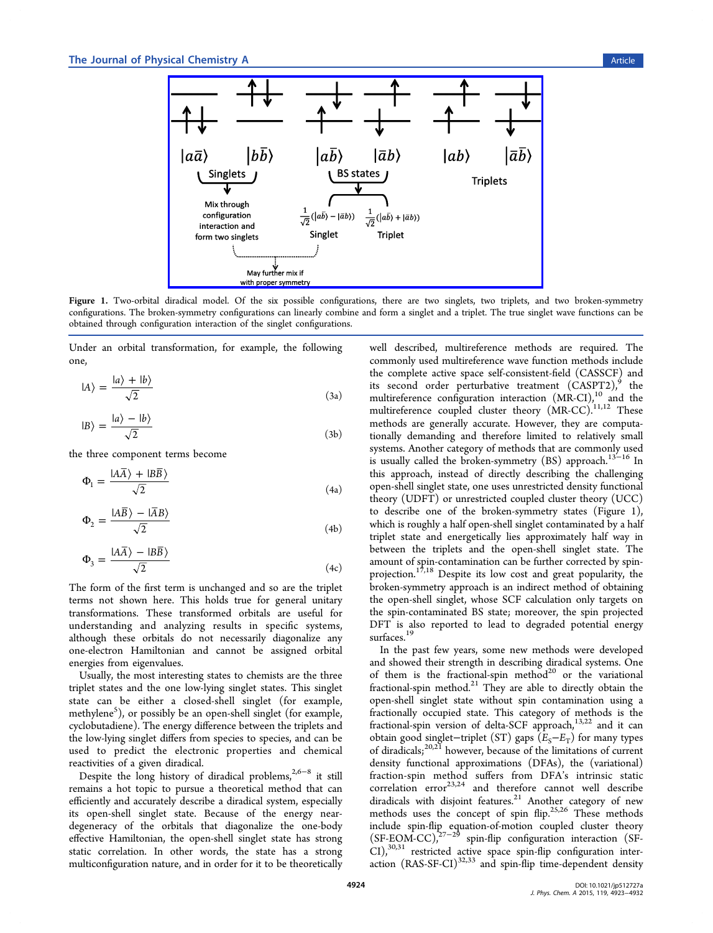<span id="page-1-0"></span>

Figure 1. Two-orbital diradical model. Of the six possible configurations, there are two singlets, two triplets, and two broken-symmetry configurations. The broken-symmetry confi[gurations can linearly combine and form a singlet and a triplet. The true sing](http://pubs.acs.org/action/showImage?doi=10.1021/jp512727a&iName=master.img-001.png&w=324&h=181)let wave functions can be obtained through configuration interaction of the singlet configurations.

Under an orbital transformation, for example, the following one,

$$
|A\rangle = \frac{|a\rangle + |b\rangle}{\sqrt{2}}\tag{3a}
$$

$$
|B\rangle = \frac{|a\rangle - |b\rangle}{\sqrt{2}}\tag{3b}
$$

the three component terms become

$$
\Phi_1 = \frac{IA\overline{A} + IB\overline{B}}{\sqrt{2}}\tag{4a}
$$

$$
\Phi_2 = \frac{A\overline{B}\rangle - \overline{A}B\rangle}{\sqrt{2}}\tag{4b}
$$

$$
\Phi_3 = \frac{IA\overline{A}\rangle - IB\overline{B}\rangle}{\sqrt{2}}\tag{4c}
$$

The form of the first term is unchanged and so are the triplet terms not shown here. This holds true for general unitary transformations. These transformed orbitals are useful for understanding and analyzing results in specific systems, although these orbitals do not necessarily diagonalize any one-electron Hamiltonian and cannot be assigned orbital energies from eigenvalues.

Usually, the most interesting states to chemists are the three triplet states and the one low-lying singlet states. This singlet state can be either a closed-shell singlet (for example, methylene<sup>5</sup>), or possibly be an open-shell singlet (for example, cyclobutadiene). The energy difference between the triplets and the low-ly[in](#page-7-0)g singlet differs from species to species, and can be used to predict the electronic properties and chemical reactivities of a given diradical.

Despite the long history of diradical problems,<sup>2,6−8</sup> it still remains a hot topic to pursue a theoretical method that can efficiently and accurately describe a diradical syste[m](#page-6-0)[, esp](#page-7-0)ecially its open-shell singlet state. Because of the energy neardegeneracy of the orbitals that diagonalize the one-body effective Hamiltonian, the open-shell singlet state has strong static correlation. In other words, the state has a strong multiconfiguration nature, and in order for it to be theoretically

well described, multireference methods are required. The commonly used multireference wave function methods include the complete active space self-consistent-field (CASSCF) and its second order perturbative treatment  $(CASPT2)<sup>9</sup>$  the multireference configuration interaction (MR-CI),<sup>10</sup> and the multireference coupled cluster theory (MR-CC).<sup>11,12</sup> [T](#page-7-0)hese methods are generally accurate. However, they ar[e c](#page-7-0)omputationally demanding and therefore limited to rela[tively](#page-7-0) small systems. Another category of methods that are commonly used is usually called the broken-symmetry  $(BS)$  approach.<sup>13–16</sup> In this approach, instead of directly describing the challenging open-shell singlet state, one uses unrestricted density f[unctio](#page-7-0)nal theory (UDFT) or unrestricted coupled cluster theory (UCC) to describe one of the broken-symmetry states (Figure 1), which is roughly a half open-shell singlet contaminated by a half triplet state and energetically lies approximately half way in between the triplets and the open-shell singlet state. The amount of spin-contamination can be further corrected by spinprojection.<sup>17,18</sup> Despite its low cost and great popularity, the broken-symmetry approach is an indirect method of obtaining the open-[shell](#page-7-0) singlet, whose SCF calculation only targets on the spin-contaminated BS state; moreover, the spin projected DFT is also reported to lead to degraded potential energy surfaces.<sup>19</sup>

In the past few years, some new methods were developed and sho[we](#page-7-0)d their strength in describing diradical systems. One of them is the fractional-spin method<sup>20</sup> or the variational fractional-spin method. $21$  They are able to directly obtain the open-shell singlet state without spin c[on](#page-7-0)tamination using a fractionally occupied [stat](#page-7-0)e. This category of methods is the fractional-spin version of delta-SCF approach,<sup>13,22</sup> and it can obtain good singlet-triplet (ST) gaps  $(E_S-E_T)$  for many types of diradicals;<sup>20,21</sup> however, because of the limit[ation](#page-7-0)s of current density functional approximations (DFAs), the (variational) fraction-spi[n me](#page-7-0)thod suffers from DFA's intrinsic static  $\arctan$  error<sup>23,24</sup> and therefore cannot well describe diradicals with disjoint features.<sup>21</sup> Another category of new methods uses th[e co](#page-7-0)ncept of spin flip.<sup>25,26</sup> These methods include spin-flip equation-of-m[otio](#page-7-0)n coupled cluster theory (SF-EOM-CC),27−<sup>29</sup> spin-flip configura[tion](#page-7-0) interaction (SF-CI),<sup>30,31</sup> restricted active space spin-flip configuration interaction  $(RAS-SF-CI)^{32,33}$  $(RAS-SF-CI)^{32,33}$  $(RAS-SF-CI)^{32,33}$  and spin-flip time-dependent density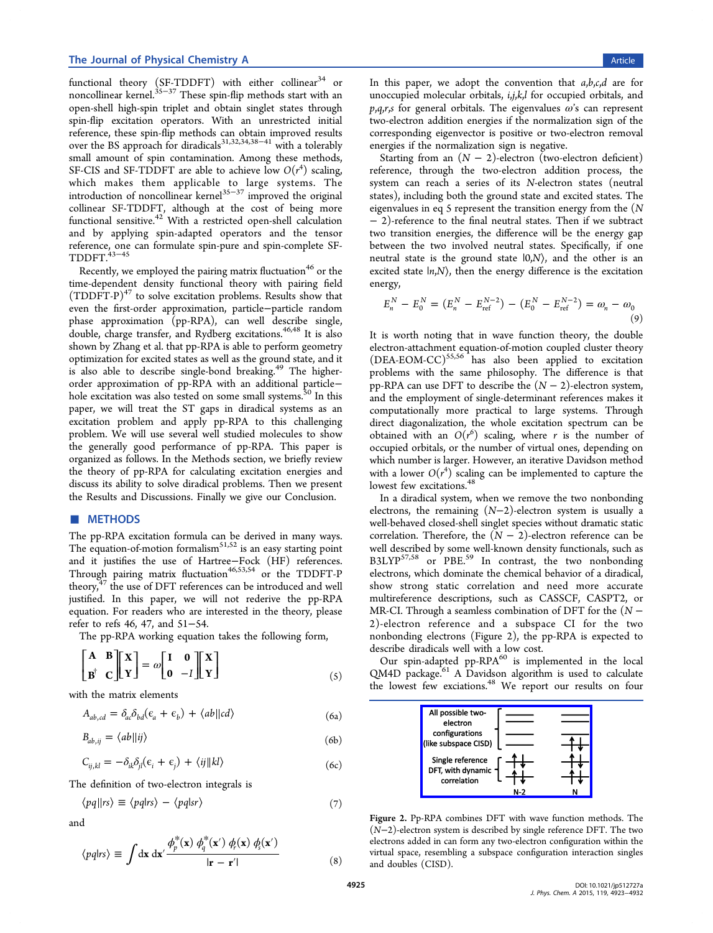<span id="page-2-0"></span>functional theory (SF-TDDFT) with either collinear<sup>34</sup> or noncollinear kernel.<sup>35–37</sup> These spin-flip methods start with an open-shell high-spin triplet and obtain singlet states th[ro](#page-7-0)ugh spin-flip excitation [ope](#page-7-0)rators. With an unrestricted initial reference, these spin-flip methods can obtain improved results over the BS approach for diradicals<sup>31,32,34,38−41</sup> with a tolerably small amount of spin contamination. Among these methods, SF-CIS and SF-TDDFT are able t[o](#page-7-0) [achieve lo](#page-7-0)w  $O(r^4)$  scaling, which makes them applicable to large systems. The introduction of noncollinear kernel<sup>35−37</sup> improved the original collinear SF-TDDFT, although at the cost of being more functional sensitive.<sup>42</sup> With a restr[icted](#page-7-0) open-shell calculation and by applying spin-adapted operators and the tensor reference, one can [for](#page-7-0)mulate spin-pure and spin-complete SF- $TDDFT.<sup>43-45</sup>$ 

Recently, we employed the pairing matrix fluctuation<sup>46</sup> or the time-dep[enden](#page-7-0)t density functional theory with pairing field  $(TDDFT-P)^{47}$  to solve excitation problems. Results s[ho](#page-7-0)w that even the first-order approximation, particle−particle random phase appr[oxi](#page-8-0)mation (pp-RPA), can well describe single, double, charge transfer, and Rydberg excitations.<sup>46,48</sup> It is also shown by Zhang et al. that pp-RPA is able to perform geometry optimization for excited states as well as the grou[nd](#page-7-0) [sta](#page-8-0)te, and it is also able to describe single-bond breaking.<sup>49</sup> The higherorder approximation of pp-RPA with an additional particle− hole excitation was also tested on some small s[yst](#page-8-0)ems.<sup>30</sup> In this paper, we will treat the ST gaps in diradical systems as an excitation problem and apply pp-RPA to this c[hall](#page-8-0)enging problem. We will use several well studied molecules to show the generally good performance of pp-RPA. This paper is organized as follows. In the Methods section, we briefly review the theory of pp-RPA for calculating excitation energies and discuss its ability to solve diradical problems. Then we present the Results and Discussions. Finally we give our Conclusion.

## ■ METHODS

The [pp-RPA](#page-3-0) [excitation](#page-3-0) [form](#page-3-0)ula can be derived i[n](#page-6-0) [many](#page-6-0) [way](#page-6-0)s. The equation-of-motion formalism $51,52$  is an easy starting point and it justifies the use of Hartree−Fock (HF) references. Through pairing matrix fluctuati[on](#page-8-0)<sup>[46,](#page-8-0)53,54</sup> or the TDDFT-P theory, $47$  the use of DFT references can be introduced and well justified. In this paper, we will [no](#page-7-0)[t red](#page-8-0)erive the pp-RPA equati[on.](#page-8-0) For readers who are interested in the theory, please refer to refs 46, 47, and 51−54.

The pp-RPA working equation takes the following form,

$$
\begin{bmatrix} \mathbf{A} & \mathbf{B} \\ \mathbf{B}^{\dagger} & \mathbf{C} \end{bmatrix} \begin{bmatrix} \mathbf{X} \\ \mathbf{Y} \end{bmatrix} = \omega \begin{bmatrix} \mathbf{I} & \mathbf{0} \\ \mathbf{0} & -I \end{bmatrix} \begin{bmatrix} \mathbf{X} \\ \mathbf{Y} \end{bmatrix}
$$
 (5)

with the matrix elements

$$
A_{ab,cd} = \delta_{ac}\delta_{bd}(\epsilon_a + \epsilon_b) + \langle ab||cd\rangle \tag{6a}
$$

$$
B_{ab,ij} = \langle ab \vert \vert ij \rangle \tag{6b}
$$

$$
C_{ij,kl} = -\delta_{ik}\delta_{jl}(\epsilon_i + \epsilon_j) + \langle ij||kl\rangle
$$
\n(6c)

The definition of two-electron integrals is

$$
\langle pq||rs \rangle \equiv \langle pq|rs \rangle - \langle pq|sr \rangle \tag{7}
$$

and

$$
\langle pq|rs \rangle \equiv \int dx \, dx' \frac{\phi_p^*(\mathbf{x}) \, \phi_q^*(\mathbf{x}') \, \phi_r(\mathbf{x}) \, \phi_s(\mathbf{x}')}{|\mathbf{r} - \mathbf{r}'|} \tag{8}
$$

In this paper, we adopt the convention that  $a,b,c,d$  are for unoccupied molecular orbitals, i,j,k,l for occupied orbitals, and  $p,q,r,s$  for general orbitals. The eigenvalues  $\omega$ 's can represent two-electron addition energies if the normalization sign of the corresponding eigenvector is positive or two-electron removal energies if the normalization sign is negative.

Starting from an  $(N - 2)$ -electron (two-electron deficient) reference, through the two-electron addition process, the system can reach a series of its N-electron states (neutral states), including both the ground state and excited states. The eigenvalues in eq 5 represent the transition energy from the  $(N)$ − 2)-reference to the final neutral states. Then if we subtract two transition energies, the difference will be the energy gap between the two involved neutral states. Specifically, if one neutral state is the ground state  $|0,N\rangle$ , and the other is an excited state  $|n,N\rangle$ , then the energy difference is the excitation energy,

$$
E_n^N - E_0^N = (E_n^N - E_{\text{ref}}^{N-2}) - (E_0^N - E_{\text{ref}}^{N-2}) = \omega_n - \omega_0
$$
\n(9)

It is worth noting that in wave function theory, the double electron-attachment equation-of-motion coupled cluster theory  $(DEA-EOM-CC)^{55,56}$  has also been applied to excitation problems with the same philosophy. The difference is that pp-RPA can use [DFT](#page-8-0) to describe the  $(N - 2)$ -electron system, and the employment of single-determinant references makes it computationally more practical to large systems. Through direct diagonalization, the whole excitation spectrum can be obtained with an  $O(r^6)$  scaling, where r is the number of occupied orbitals, or the number of virtual ones, depending on which number is larger. However, an iterative Davidson method with a lower  $O(r^4)$  scaling can be implemented to capture the lowest few excitations.<sup>48</sup>

In a diradical system, when we remove the two nonbonding electrons, the remain[ing](#page-8-0)  $(N-2)$ -electron system is usually a well-behaved closed-shell singlet species without dramatic static correlation. Therefore, the  $(N - 2)$ -electron reference can be well described by some well-known density functionals, such as  $B3LYP<sup>57,58</sup>$  or PBE.<sup>59</sup> In contrast, the two nonbonding electrons, which dominate the chemical behavior of a diradical, show [stron](#page-8-0)g static [co](#page-8-0)rrelation and need more accurate multireference descriptions, such as CASSCF, CASPT2, or MR-CI. Through a seamless combination of DFT for the  $(N -$ 2)-electron reference and a subspace CI for the two nonbonding electrons (Figure 2), the pp-RPA is expected to describe diradicals well with a low cost.

Our spin-adapted pp-RPA $^{60}$  is implemented in the local QM4D package.<sup>61</sup> A Davidson algorithm is used to calculate the lowest few exciations.<sup>48</sup> [W](#page-8-0)e report our results on four



Figure 2. Pp[-RPA combines DFT with wave function m](http://pubs.acs.org/action/showImage?doi=10.1021/jp512727a&iName=master.img-002.png&w=145&h=76)ethods. The (N−2)-electron system is described by single reference DFT. The two electrons added in can form any two-electron configuration within the virtual space, resembling a subspace configuration interaction singles and doubles (CISD).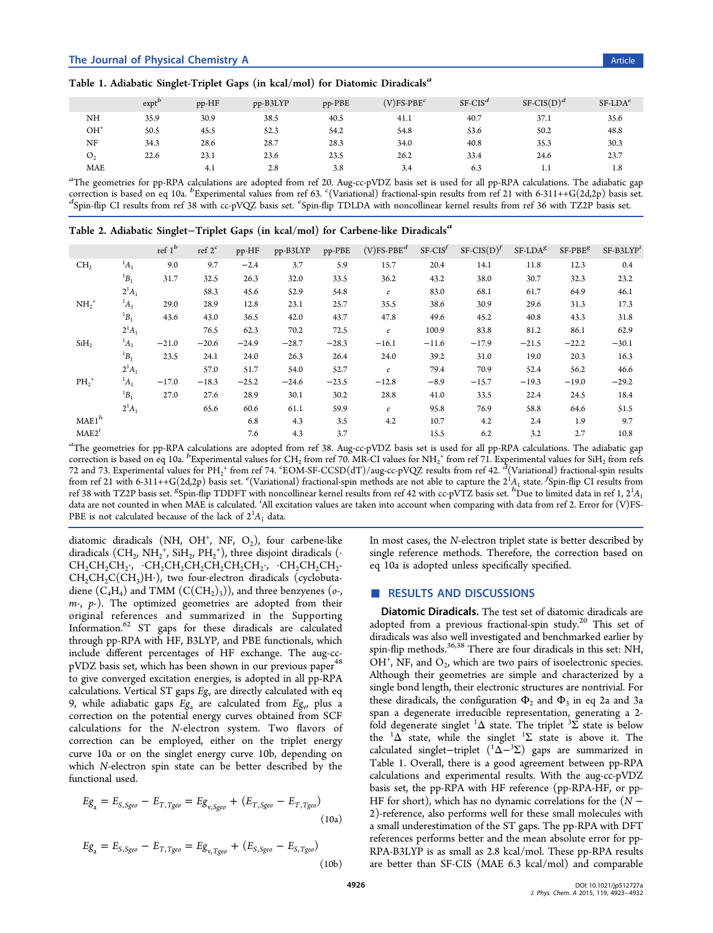<span id="page-3-0"></span>

|                | exp <sup>b</sup> | pp-HF | pp-B3LYP | $pp-PBE$ | $(V)$ FS-PBE <sup>c</sup> | $SF-CISd$ | $SF-CIS(D)^d$ | $SF-LDAe$ |
|----------------|------------------|-------|----------|----------|---------------------------|-----------|---------------|-----------|
| NH             | 35.9             | 30.9  | 38.5     | 40.5     | 41.1                      | 40.7      | 37.1          | 35.6      |
| $OH+$          | 50.5             | 45.5  | 52.3     | 54.2     | 54.8                      | 53.6      | 50.2          | 48.8      |
| NF             | 34.3             | 28.6  | 28.7     | 28.3     | 34.0                      | 40.8      | 35.3          | 30.3      |
| O <sub>2</sub> | 22.6             | 23.1  | 23.6     | 23.5     | 26.2                      | 33.4      | 24.6          | 23.7      |
| <b>MAE</b>     |                  | 4.1   | 2.8      | 3.8      | 3.4                       | 6.3       | 1.1           | 1.8       |

a<br>The geometries for pp-RPA calculations are adopted from ref 20. Aug-cc-pVDZ basis set is used for all pp-RPA calculations. The adiabatic gap correction is based on eq 10a. b Experimental values from ref 63. CVariational) fractional-spin results from ref 21 with 6-311++G(2d,2p) basis set.<br>
d'Spin-flin CI results from ref 38 with co-pVOZ basis set espin-flin TDI Spin-flip CI results from ref 38 with cc-pVQZ basis set. <sup>e</sup> Spin-fl[ip](#page-7-0) TDLDA with noncollinear kernel results from ref 36 with TZ2P basis set.

|  |  |  | Table 2. Adiabatic Singlet-Triplet Gaps (in kcal/mol) for Carbene-like Diradicals <sup>a</sup> |  |  |  |
|--|--|--|------------------------------------------------------------------------------------------------|--|--|--|
|  |  |  |                                                                                                |  |  |  |

|                   |             | ref $1^b$ | ref $2^c$ | pp-HF   | pp-B3LYP | $pp-PBE$ | $(V)$ FS-PBE <sup>d</sup> | $SF-CIS^f$ | $SF\text{-}CIS(D)^f$ | $SF-LDAg$ | $SF-PBEg$ | $SF-B3LYPi$ |
|-------------------|-------------|-----------|-----------|---------|----------|----------|---------------------------|------------|----------------------|-----------|-----------|-------------|
| CH <sub>2</sub>   | $^{1}A_{1}$ | 9.0       | 9.7       | $-2.4$  | 3.7      | 5.9      | 15.7                      | 20.4       | 14.1                 | 11.8      | 12.3      | 0.4         |
|                   | ${}^1B_1$   | 31.7      | 32.5      | 26.3    | 32.0     | 33.5     | 36.2                      | 43.2       | 38.0                 | 30.7      | 32.3      | 23.2        |
|                   | $2^1A_1$    |           | 58.3      | 45.6    | 52.9     | 54.8     | $\boldsymbol{e}$          | 83.0       | 68.1                 | 61.7      | 64.9      | 46.1        |
| $NH2+$            | $A_1$       | 29.0      | 28.9      | 12.8    | 23.1     | 25.7     | 35.5                      | 38.6       | 30.9                 | 29.6      | 31.3      | 17.3        |
|                   | ${}^1B_1$   | 43.6      | 43.0      | 36.5    | 42.0     | 43.7     | 47.8                      | 49.6       | 45.2                 | 40.8      | 43.3      | 31.8        |
|                   | $2^1A_1$    |           | 76.5      | 62.3    | 70.2     | 72.5     | $\it e$                   | 100.9      | 83.8                 | 81.2      | 86.1      | 62.9        |
| SiH <sub>2</sub>  | $^1A_1$     | $-21.0$   | $-20.6$   | $-24.9$ | $-28.7$  | $-28.3$  | $-16.1$                   | $-11.6$    | $-17.9$              | $-21.5$   | $-22.2$   | $-30.1$     |
|                   | $B_1$       | 23.5      | 24.1      | 24.0    | 26.3     | 26.4     | 24.0                      | 39.2       | 31.0                 | 19.0      | 20.3      | 16.3        |
|                   | $2^1A_1$    |           | 57.0      | 51.7    | 54.0     | 52.7     | $\boldsymbol{e}$          | 79.4       | 70.9                 | 52.4      | 56.2      | 46.6        |
| $PH_2^+$          | $^1A_1$     | $-17.0$   | $-18.3$   | $-25.2$ | $-24.6$  | $-23.5$  | $-12.8$                   | $-8.9$     | $-15.7$              | $-19.3$   | $-19.0$   | $-29.2$     |
|                   | $B_1$       | 27.0      | 27.6      | 28.9    | 30.1     | 30.2     | 28.8                      | 41.0       | 33.5                 | 22.4      | 24.5      | 18.4        |
|                   | $2^1A_1$    |           | 65.6      | 60.6    | 61.1     | 59.9     | $\boldsymbol{e}$          | 95.8       | 76.9                 | 58.8      | 64.6      | 51.5        |
| MAE1 <sup>h</sup> |             |           |           | 6.8     | 4.3      | 3.5      | 4.2                       | 10.7       | 4.2                  | 2.4       | 1.9       | 9.7         |
| MAE2 <sup>i</sup> |             |           |           | 7.6     | 4.3      | 3.7      |                           | 15.5       | 6.2                  | 3.2       | 2.7       | 10.8        |

a<br>The geometries for pp-RPA calculations are adopted from ref 38. Aug-cc-pVDZ basis set is used for all pp-RPA calculations. The adiabatic gap correction is based on eq 10a.  ${}^{b}$ Experimental values for CH<sub>2</sub> from ref 70. MR-CI values for NH<sub>2</sub><sup>+</sup> from ref 71. Experimental values for SiH<sub>2</sub> from refs 72 and 73. Experimental values for  $PH_2^+$  from ref 74.  ${}^{\circ}$ EOM-SF-CCSD(dT)/aug-cc-pVQZ results from ref 42.  ${}^d$ (Variational) fractional-spin results From ref 21 with 6-311++G(2d,2p) basis set.  $e$ (Variat[ion](#page-7-0)al) fractional-spin methods are not able to capture the  $2^{1}A_{1}$  state. *Spin-flip* CI results from  $e^{-(2a+1)}$  is the  $e^{-(2a+1)}$  state.  $f$  spin-flip CI results f ref 38 with TZ2P basis set. <sup>8</sup>Spin-flip TDDFT with noncollinear kern[el](#page-8-0) [r](#page-8-0)esults from ref 42 with cc-pVTZ b[asi](#page-8-0)s set. <sup>h</sup>Due to limited data in ref 1, 2<sup>1</sup>A<sub>1</sub> [dat](#page-8-0)a ar[e](#page-8-0) [no](#page-8-0)t counted in [w](#page-7-0)hen MAE is calculated. <sup>*'[All](#page-8-0) excitation values are taken into account when compari[ng](#page-7-0) with data from ref 2. Error for (V)FS-*</sup> PB[E i](#page-7-0)s [not](#page-7-0) calculated because of the lack of  $2^1A_1$  data.

diatomic diradicals (NH, OH<sup>+</sup>, NF, O<sub>2</sub>), four carbene-like diradicals  $(\text{CH}_2,\text{NH}_2^+, \text{SiH}_2,\text{PH}_2^+),$  three disjoint diradicals  $(\cdot$  $CH_2CH_2CH_2$ ;  $CH_2CH_2CH_2CH_2CH_2CH_2CH_2$ ;  $CH_2CH_2CH_2CH_2$  $CH_2CH_2C(CH_3)H$ ), two four-electron diradicals (cyclobutadiene  $(C_4H_4)$  and TMM  $(C(CH_2)_3)$ , and three benzyenes (*o*-,  $m$ -,  $p$ -). The optimized geometries are adopted from their original references and summarized in the Supporting Information.<sup>62</sup> ST gaps for these diradicals are calculated through pp-RPA with HF, B3LYP, and PBE functi[onals, which](#page-6-0) [include di](#page-6-0)ff[ere](#page-8-0)nt percentages of HF exchange. The aug-ccpVDZ basis set, which has been shown in our previous paper<sup>48</sup> to give converged excitation energies, is adopted in all pp-RPA calculations. Vertical ST gaps  $E_{\mathcal{S}_v}$  are directly calculated with [eq](#page-8-0) 9, while adiabatic gaps  $E_{g_a}$  are calculated from  $E_{g_v}$ , plus a correction on the potential energy curves obtained from SCF [ca](#page-2-0)lculations for the N-electron system. Two flavors of correction can be employed, either on the triplet energy curve 10a or on the singlet energy curve 10b, depending on which N-electron spin state can be better described by the functional used.

$$
Eg_a = E_{S, Sgeo} - E_{T, Tgeo} = Eg_{v, Sgeo} + (E_{T, Sgeo} - E_{T, Tgeo})
$$
\n(10a)

$$
Eg_a = E_{S, Sgeo} - E_{T, Tgeo} = Eg_{v, Tgeo} + (E_{S, Sgeo} - E_{S, Tgeo})
$$
\n(10b)

In most cases, the N-electron triplet state is b[ett](#page-6-0)er described by single reference methods. Therefore, the correction based on eq 10a is adopted unless specifically specified.

## ■ RESULTS AND DISCUSSIONS

Diatomic Diradicals. The test set of diatomic diradicals are adopted from a previous fractional-spin study.<sup>20</sup> This set of diradicals was also well investigated and benchmarked earlier by sp[in](#page-7-0)-flip methods.<sup>36,38</sup> There are four diradicals in this set: NH,  $OH<sup>+</sup>, NF,$  and  $O<sub>2</sub>$ , which are two pairs of isoelectronic species. Although their g[eome](#page-7-0)tries are simple and characterized by a single bond length, their electronic structures are nontrivial. For these diradicals, the configuration  $\Phi_2$  and  $\Phi_3$  in eq 2a and 3a span a degenerate irreducible representation, generating a 2 fold degenerate singlet  ${}^{1}\Delta$  state. The triplet  ${}^{3}\Sigma$  stat[e is](#page-0-0) bel[ow](#page-1-0) the  ${}^{1}\Delta$  state, while the singlet  ${}^{1}\Sigma$  state is above it. The calculated singlet–triplet  $($ <sup>1</sup> $\tilde{\Delta}$ <sup>-3</sup>∑) gaps are summarized in Table 1. Overall, there is a good agreement between pp-RPA calculations and experimental results. With the aug-cc-pVDZ basis set, the pp-RPA with HF reference (pp-RPA-HF, or pp-HF for short), which has no dynamic correlations for the  $(N -$ 2)-reference, also performs well for these small molecules with a small underestimation of the ST gaps. The pp-RPA with DFT references performs better and the mean absolute error for pp-RPA-B3LYP is as small as 2.8 kcal/mol. These pp-RPA results are better than SF-CIS (MAE 6.3 kcal/mol) and comparable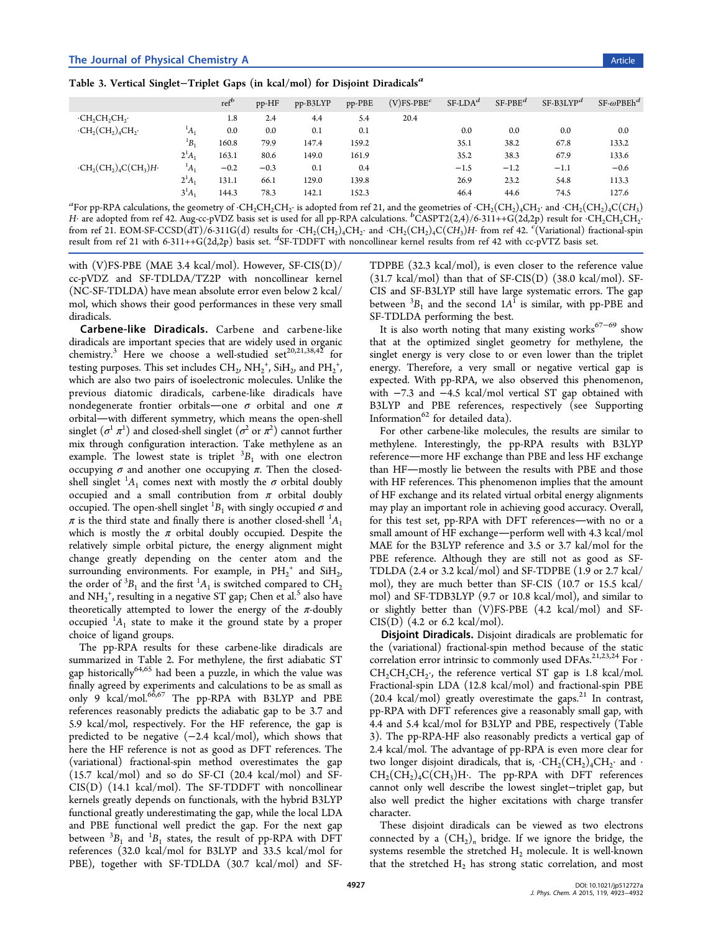| $SF$ - $\omega$ PBEh <sup>d</sup> |
|-----------------------------------|
|                                   |
| 0.0                               |
| 133.2                             |
| 133.6                             |
| $-0.6$                            |
| 113.3                             |
| 127.6                             |
|                                   |

<sup>a</sup>For pp-RPA calculations, the geometry of ·CH<sub>2</sub>CH<sub>2</sub>CH<sub>2</sub>· is adopted from ref 21, and the geometries of ·CH<sub>2</sub>(CH<sub>2</sub>)4CH<sub>2</sub>· and ·CH<sub>2</sub>(CH<sub>2</sub>)4C(*CH*<sub>3</sub>) H• are adopted from ref 42. Aug-cc-pVDZ basis set is used for all pp-RPA calculations.  ${}^b$ CASPT2(2,4)/6-311++G(2d,2p) result for ·CH<sub>2</sub>CH<sub>2</sub>·CH<sub>2</sub>·CH<sub>2</sub>·CH<sub>2</sub>·CH<sub>2</sub>·CH<sub>2</sub>·CH<sub>2</sub>·CH<sub>2</sub>·CH<sub>2</sub>·CH<sub>2</sub>·CH<sub>2</sub>·CH<sub>2</sub>·CH<sub>2</sub>·CH<sub>2</sub>· from ref 21. EOM-SF-CCSD(dT)/6-311G(d) results for  $CH_2(CH_2)_4CH_2$ · and  $CH_2(CH_2)_4C(H_3)H$ · from ref 42.  $\lq$ (Variational) fractional-spin result from ref 21 with [6-3](#page-7-0)11++G(2d,2p) basis set.  ${}^{d}$ SF-TDDFT with nonc[ollin](#page-7-0)ear kernel results from ref 42 with cc-pVTZ basis set.

with (V[\)FS](#page-7-0)-PBE (MAE 3.4 kcal/mol). However, SF-CIS(D)/ cc-pVDZ an[d](#page-7-0) SF-TDLDA/TZ2P with noncollinear kernel (NC-SF-TDLDA) have mean absolute error even below 2 kcal/ mol, which shows their good performances in these very small diradicals.

Carbene-like Diradicals. Carbene and carbene-like diradicals are important species that are widely used in organic chemistry.<sup>3</sup> Here we choose a well-studied set<sup>20,21,38,42</sup> for testing purposes. This set includes  $\mathrm{CH}_2$ ,  $\mathrm{NH}_2^+$ ,  $\mathrm{SiH}_2$ , and  $\mathrm{PH_2}^+$ , which are [a](#page-6-0)lso two pairs of isoelectronic molecule[s. Unlike](#page-7-0) the previous diatomic diradicals, carbene-like diradicals have nondegenerate frontier orbitals—one  $\sigma$  orbital and one  $\pi$ orbital—with different symmetry, which means the open-shell singlet  $(\sigma^1\ \pi^1)$  and closed-shell singlet  $(\sigma^2 \text{ or } \pi^2)$  cannot further mix through configuration interaction. Take methylene as an example. The lowest state is triplet  ${}^{3}B_{1}$  with one electron occupying  $σ$  and another one occupying  $π$ . Then the closedshell singlet  ${}^{1}A_{1}$  comes next with mostly the  $\sigma$  orbital doubly occupied and a small contribution from  $\pi$  orbital doubly occupied. The open-shell singlet  ${}^{1}B_{1}$  with singly occupied  $\sigma$  and  $\pi$  is the third state and finally there is another closed-shell  ${}^{1}A_1$ which is mostly the  $\pi$  orbital doubly occupied. Despite the relatively simple orbital picture, the energy alignment might change greatly depending on the center atom and the surrounding environments. For example, in  $PH_2^+$  and  $SiH_2$ , the order of  ${}^{3}B_1$  and the first  ${}^{1}A_1$  is switched compared to  $CH_2$ and  $NH_2^+$ , resulting in a negative ST gap; Chen et al.<sup>5</sup> also have theoretically attempted to lower the energy of the  $\pi$ -doubly occupied  ${}^{1}A_1$  state to make it the ground state b[y](#page-7-0) a proper choice of ligand groups.

The pp-RPA results for these carbene-like diradicals are summarized in Table 2. For methylene, the first adiabatic ST gap historically<sup>64,65</sup> had been a puzzle, in which the value was finally agreed by expe[rim](#page-3-0)ents and calculations to be as small as only 9 kcal/[mol.](#page-8-0)<sup>66,67</sup> The pp-RPA with B3LYP and PBE references reasonably predicts the adiabatic gap to be 3.7 and 5.9 kcal/mol, res[pecti](#page-8-0)vely. For the HF reference, the gap is predicted to be negative (−2.4 kcal/mol), which shows that here the HF reference is not as good as DFT references. The (variational) fractional-spin method overestimates the gap (15.7 kcal/mol) and so do SF-CI (20.4 kcal/mol) and SF-CIS(D) (14.1 kcal/mol). The SF-TDDFT with noncollinear kernels greatly depends on functionals, with the hybrid B3LYP functional greatly underestimating the gap, while the local LDA and PBE functional well predict the gap. For the next gap between  ${}^{3}B_{1}$  and  ${}^{1}B_{1}$  states, the result of pp-RPA with DFT references (32.0 kcal/mol for B3LYP and 33.5 kcal/mol for PBE), together with SF-TDLDA (30.7 kcal/mol) and SF-

TDPBE (32.3 kcal/mol), is even [clo](#page-7-0)ser to the reference value  $(31.7 \text{ kcal/mol})$  than that [of](#page-7-0) [S](#page-7-0)F-CIS(D)  $(38.0 \text{ kcal/mol})$ . SF-CIS and SF-B3LYP still have large systematic errors. The gap between  ${}^{3}B_1$  and the second  $1A^{\bar{1}}$  is similar, with pp-PBE and SF-TDLDA performing the best.

It is also worth noting that many existing works $67-69$  show that at the optimized singlet geometry for methylene, the singlet energy is very close to or even lower than [the](#page-8-0) triplet energy. Therefore, a very small or negative vertical gap is expected. With pp-RPA, we also observed this phenomenon, with −7.3 and −4.5 kcal/mol vertical ST gap obtained with B3LYP and PBE references, respectively (see Supporting Information $^{62}$  for detailed data).

For other carbene-like molecules, the results ar[e similar to](#page-6-0) [methylene.](#page-6-0) [In](#page-8-0)terestingly, the pp-RPA results with B3LYP reference-more HF exchange than PBE and less HF exchange than HF-mostly lie between the results with PBE and those with HF references. This phenomenon implies that the amount of HF exchange and its related virtual orbital energy alignments may play an important role in achieving good accuracy. Overall, for this test set, pp-RPA with DFT references-with no or a small amount of HF exchange—perform well with 4.3 kcal/mol MAE for the B3LYP reference and 3.5 or 3.7 kal/mol for the PBE reference. Although they are still not as good as SF-TDLDA (2.4 or 3.2 kcal/mol) and SF-TDPBE (1.9 or 2.7 kcal/ mol), they are much better than SF-CIS (10.7 or 15.5 kcal/ mol) and SF-TDB3LYP (9.7 or 10.8 kcal/mol), and similar to or slightly better than (V)FS-PBE (4.2 kcal/mol) and SF- $CIS(D)$  (4.2 or 6.2 kcal/mol).

Disjoint Diradicals. Disjoint diradicals are problematic for the (variational) fractional-spin method because of the static correlation error intrinsic to commonly used DFAs.<sup>21,23,24</sup> For  $\cdot$  $CH<sub>2</sub>CH<sub>2</sub>CH<sub>2</sub>$ ; the reference vertical ST gap is 1.8 kcal/mol. Fractional-spin LDA (12.8 kcal/mol) and fractio[nal-spin](#page-7-0) PBE  $(20.4 \text{ kcal/mol})$  greatly overestimate the gaps.<sup>21</sup> In contrast, pp-RPA with DFT references give a reasonably small gap, with 4.4 and 5.4 kcal/mol for B3LYP and PBE, resp[ec](#page-7-0)tively (Table 3). The pp-RPA-HF also reasonably predicts a vertical gap of 2.4 kcal/mol. The advantage of pp-RPA is even more clear for two longer disjoint diradicals, that is,  $\cdot \text{CH}_2(\text{CH}_2)_4\text{CH}_2$ · and  $\cdot$  $CH_2(CH_2)_4C(CH_3)H$ . The pp-RPA with DFT references cannot only well describe the lowest singlet−triplet gap, but also well predict the higher excitations with charge transfer character.

These disjoint diradicals can be viewed as two electrons connected by a  $(CH_2)_n$  bridge. If we ignore the bridge, the systems resemble the stretched  $H_2$  molecule. It is well-known that the stretched  $H_2$  has strong static correlation, and most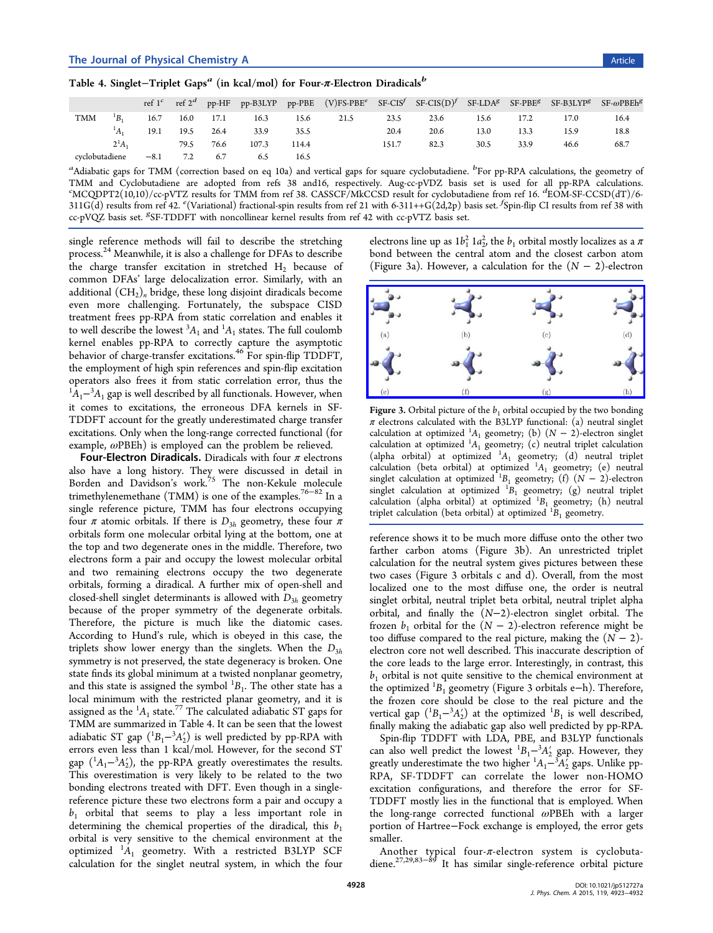|  |  |  | Table 4. Singlet–Triplet Gaps $^a$ (in kcal/mol) for Four- $\pi$ -Electron Diradicals $^b$ |  |
|--|--|--|--------------------------------------------------------------------------------------------|--|
|  |  |  |                                                                                            |  |

|                |        |        | ref $1^c$ ref $2^d$ |           |       |       | pp-HF pp-B3LYP pp-PBE $(V)FS-PBE^c$ SF-CIS <sup>f</sup> SF-CIS $(D)^f$ SF-LDA <sup>g</sup> SF-PBE <sup>g</sup> SF-B3LYP <sup>g</sup> SF- $\omega$ PBEh <sup>g</sup> |       |      |      |      |      |      |
|----------------|--------|--------|---------------------|-----------|-------|-------|---------------------------------------------------------------------------------------------------------------------------------------------------------------------|-------|------|------|------|------|------|
| <b>TMM</b>     |        | 16.7   |                     | 16.0 17.1 | 16.3  | 15.6  | 21.5                                                                                                                                                                | 23.5  | 23.6 | 15.6 | 17.2 | 17.0 | 16.4 |
|                |        | 19.1   | 19.5                | 26.4      | 33.9  | 35.5  |                                                                                                                                                                     | 20.4  | 20.6 | 13.0 | 13.3 | 15.9 | 18.8 |
|                | $2^1A$ |        | 79.5                | 76.6      | 107.3 | 114.4 |                                                                                                                                                                     | 151.7 | 82.3 | 30.5 | 33.9 | 46.6 | 68.7 |
| cyclobutadiene |        | $-8.1$ | 7.2                 | 6.7       | 6.5   | 16.5  |                                                                                                                                                                     |       |      |      |      |      |      |

a<br>Adiabatic gaps for TMM (correction based on eq 10a) and vertical gaps for square cyclobutadiene. <sup>b</sup>For pp-RPA calculations, the geometry of TMM and Cyclobutadiene are adopted from refs 38 and16, respectively. Aug-cc-pVDZ basis set is used for all pp-RPA calculations. c MCQDPT2(10,10)/cc-pVTZ results for TMM from ref 38. CASSCF/MkCCSD result for cyclobutadiene from ref 16. <sup>d</sup> EOM-SF-CCSD(dT)/6- 311G(d) results from ref 42.  $\ell$  (Variational) fractiona[l-spi](#page-3-0)n results from ref 21 with 6-311++G(2d,2p) basis set.  $\ell$ Spin-flip CI results from ref 38 with cc-pVQZ basis set. <sup>*8*</sup>SF-TDDFT with noncollinear ker[nel re](#page-7-0)su[lts](#page-7-0) from ref 42 with cc-pVTZ basis set.

single reference meth[ods](#page-7-0) will fail to describe the stretching process.<sup>24</sup> Meanwhile, it is also a challenge for DFAs to describe the charge transfer excitation in stretched  $H_2$  because of commo[n](#page-7-0) DFAs' large delocalization error. Similarly, with an additional  $(CH<sub>2</sub>)<sub>n</sub>$  bridge, these long disjoint diradicals become even more challenging. Fortunately, the subspace CISD treatment frees pp-RPA from static correlation and enables it to well describe the lowest  ${}^3A_1$  and  ${}^1A_1$  states. The full coulomb kernel enables pp-RPA to correctly capture the asymptotic behavior of charge-transfer excitations.<sup>46</sup> For spin-flip TDDFT, the employment of high spin references and spin-flip excitation operators also frees it from static co[rre](#page-7-0)lation error, thus the  ${}^{1}A_{1}$ – ${}^{3}A_{1}$  gap is well described by all functionals. However, when it comes to excitations, the erroneous DFA kernels in SF-TDDFT account for the greatly underestimated charge transfer excitations. Only when the long-range corrected functional (for example,  $\omega$ PBEh) is employed can the problem be relieved.

Four-Electron Diradicals. Diradicals with four  $\pi$  electrons also have a long history. They were discussed in detail in Borden and Davidson's work.<sup>75</sup> The non-Kekule molecule trimethylenemethane (TMM) is one of the examples.<sup>76–82</sup> In a single reference picture, TMM [h](#page-8-0)as four electrons occupying four  $\pi$  atomic orbitals. If there is  $D_{3h}$  geometry, th[ese fo](#page-8-0)ur  $\pi$ orbitals form one molecular orbital lying at the bottom, one at the top and two degenerate ones in the middle. Therefore, two electrons form a pair and occupy the lowest molecular orbital and two remaining electrons occupy the two degenerate orbitals, forming a diradical. A further mix of open-shell and closed-shell singlet determinants is allowed with  $D_{3h}$  geometry because of the proper symmetry of the degenerate orbitals. Therefore, the picture is much like the diatomic cases. According to Hund's rule, which is obeyed in this case, the triplets show lower energy than the singlets. When the  $D_{3h}$ symmetry is not preserved, the state degeneracy is broken. One state finds its global minimum at a twisted nonplanar geometry, and this state is assigned the symbol  ${}^{1}B_{1}$ . The other state has a local minimum with the restricted planar geometry, and it is assigned as the  ${}^{1\!}A_1$  state.<sup>77</sup> The calculated adiabatic ST gaps for TMM are summarized in Table 4. It can be seen that the lowest adiabatic ST gap  $({}^1B_1-{}^3A_2')$  $({}^1B_1-{}^3A_2')$  $({}^1B_1-{}^3A_2')$  is well predicted by pp-RPA with errors even less than 1 kcal/mol. However, for the second ST gap  $({}^{1}A_{1} - {}^{3}A'_{2})$ , the pp-RPA greatly overestimates the results. This overestimation is very likely to be related to the two bonding electrons treated with DFT. Even though in a singlereference picture these two electrons form a pair and occupy a  $b_1$  orbital that seems to play a less important role in determining the chemical properties of the diradical, this  $b_1$ orbital is very sensitive to the chemical environment at the optimized  ${}^{1}A_{1}$  geometry. With a restricted B3LYP SCF calculation for the singlet neutral system, in which the four

[e](#page-7-0)lectron[s](#page-7-0) line up [a](#page-7-0)s  $1b_1^2$   $1a_2^2$ , the  $b_1$  orbital mostly localizes as a  $\pi$ bond between the central atom and the closest carbon atom (Figure 3a). However, a calculation for the  $(N - 2)$ -electron



Figure 3. Orbital picture of the  $b_1$  orbital occupied by the two bonding  $\pi$  [electrons calculated with the B3LYP functional: \(a\) neutral singlet](http://pubs.acs.org/action/showImage?doi=10.1021/jp512727a&iName=master.img-003.jpg&w=239&h=94) calculation at optimized  ${}^{1}A_1$  geometry; (b)  $(N-2)$ -electron singlet calculation at optimized  ${}^{1}A_{1}$  geometry; (c) neutral triplet calculation (alpha orbital) at optimized  ${}^{1}A_{1}$  geometry; (d) neutral triplet calculation (beta orbital) at optimized  ${}^{1}A_{1}$  geometry; (e) neutral singlet calculation at optimized  ${}^{1}B_{1}$  geometry; (f) (N – 2)-electron singlet calculation at optimized  ${}^{1}B_{1}$  geometry; (g) neutral triplet calculation (alpha orbital) at optimized  ${}^{1}B_{1}$  geometry; (h) neutral triplet calculation (beta orbital) at optimized  ${}^{1}B_{1}$  geometry.

reference shows it to be much more diffuse onto the other two farther carbon atoms (Figure 3b). An unrestricted triplet calculation for the neutral system gives pictures between these two cases (Figure 3 orbitals c and d). Overall, from the most localized one to the most diffuse one, the order is neutral singlet orbital, neutral triplet beta orbital, neutral triplet alpha orbital, and finally the (N−2)-electron singlet orbital. The frozen  $b_1$  orbital for the  $(N - 2)$ -electron reference might be too diffuse compared to the real picture, making the  $(N - 2)$ electron core not well described. This inaccurate description of the core leads to the large error. Interestingly, in contrast, this  $b<sub>1</sub>$  orbital is not quite sensitive to the chemical environment at the optimized  ${}^{1}B_{1}$  geometry (Figure 3 orbitals e−h). Therefore, the frozen core should be close to the real picture and the vertical gap  $({}^{1}B_{1} - {}^{3}A'_{2})$  at the optimized  ${}^{1}B_{1}$  is well described, finally making the adiabatic gap also well predicted by pp-RPA.

Spin-flip TDDFT with LDA, PBE, and B3LYP functionals can also well predict the lowest  ${}^{1}B_{1} - {}^{3}A'_{2}$  gap. However, they greatly underestimate the two higher  ${}^{1}A_{1} - {}^{3}A_{2}$  gaps. Unlike pp-RPA, SF-TDDFT can correlate the lower non-HOMO excitation configurations, and therefore the error for SF-TDDFT mostly lies in the functional that is employed. When the long-range corrected functional ωPBEh with a larger portion of Hartree−Fock exchange is employed, the error gets smaller.

Another typical four-π-electron system is cyclobutadiene.27,29,83−<sup>89</sup> It has similar single-reference orbital picture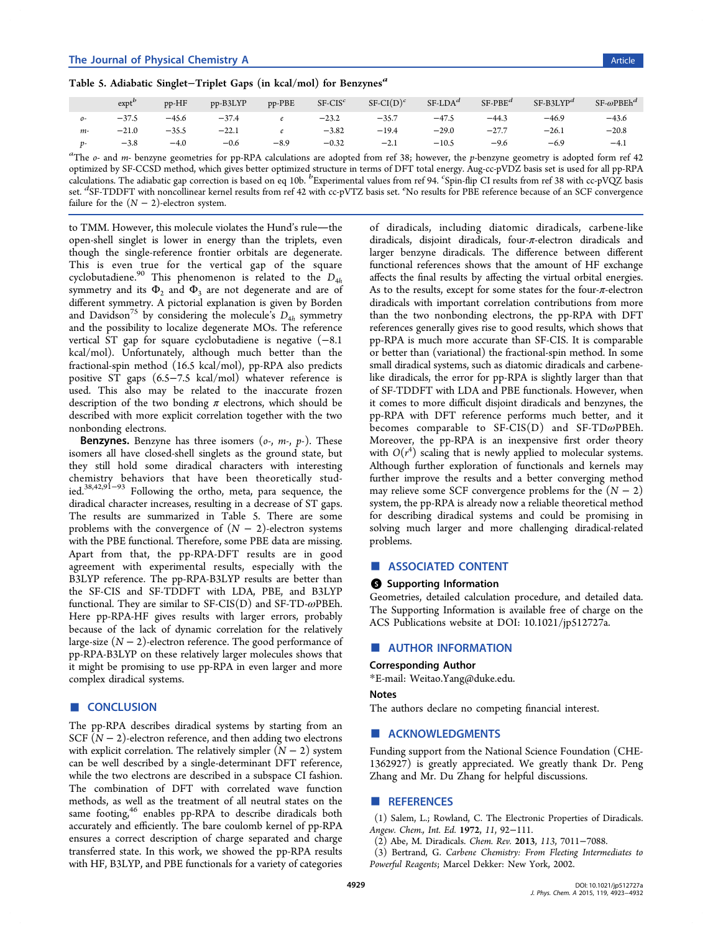## <span id="page-6-0"></span>Table 5. Adiabatic Singlet-Triplet Gaps (in kcal/mol) for Benzynes<sup>a</sup>

|       | exp <sup>b</sup> | pp-HF   | pp-B3LYP | pp-PBE | $SF-CIS^c$ | $SF-CI(D)^c$ | $SF-LDAd$ | $S F-PBE^d$ | $SF-B3LYPd$ | $SF$ - $\omega$ PBEh <sup>d</sup> |
|-------|------------------|---------|----------|--------|------------|--------------|-----------|-------------|-------------|-----------------------------------|
| $O -$ | $-37.5$          | $-45.6$ | $-37.4$  | e      | $-23.2$    | $-35.7$      | $-47.5$   | $-44.3$     | $-46.9$     | $-43.6$                           |
| $m-$  | $-21.0$          | $-35.5$ | $-22.1$  |        | $-3.82$    | $-19.4$      | $-29.0$   | $-27.7$     | $-26.1$     | $-20.8$                           |
|       | $-3.8$           | $-4.0$  | $-0.6$   | $-8.9$ | $-0.32$    | $-2.1$       | $-10.5$   | $-9.6$      | $-6.9$      | $-4.1$                            |

<sup>a</sup>The  $o$ - and m- benzyne geometries for pp-RPA calculations are adopted from ref 38; however, the p-benzyne geometry is adopted form ref 42 optimized by SF-CCSD method, which gives better optimized structure in terms of DFT total energy. Aug-cc-pVDZ basis set is used for all pp-RPA calculations. The adiabatic gap correction is based on eq 10b. <sup>b</sup> Experimental values from ref 94. <sup>c</sup> Spin-flip CI results from ref 38 with cc-pVQZ basis s[e](#page-7-0)t. <sup>d</sup>SF-TDDFT with noncollinear kernel results from ref 42 with cc-pVTZ basis set. <sup>e</sup>No results for PBE refere[nce](#page-7-0) because of an SCF convergence failure for the  $(N - 2)$ -electron system.

to TMM. However, thi[s](#page-7-0) molecule violates the Hund's [ru](#page-7-0)le—the open-shell singlet is lower in energy than the triplets, even though the single-reference frontier orbitals are degenerate. This is even true for the vertical gap of the square cyclobutadiene.<sup>90</sup> This phenomenon is related to the  $D_{4h}$ symmetry and its  $\Phi_2$  and  $\Phi_3$  are not degenerate and are of different symm[etr](#page-8-0)y. A pictorial explanation is given by Borden and Davidson<sup>'S</sup> by considering the molecule's  $D_{4h}$  symmetry and the possibility to localize degenerate MOs. The reference vertical ST g[ap](#page-8-0) for square cyclobutadiene is negative (−8.1 kcal/mol). Unfortunately, although much better than the fractional-spin method (16.5 kcal/mol), pp-RPA also predicts positive ST gaps (6.5−7.5 kcal/mol) whatever reference is used. This also may be related to the inaccurate frozen description of the two bonding  $\pi$  electrons, which should be described with more explicit correlation together with the two nonbonding electrons.

**Benzynes.** Benzyne has three isomers  $(o_1, m_1, p_1)$ . These isomers all have closed-shell singlets as the ground state, but they still hold some diradical characters with interesting chemistry behaviors that have been theoretically studied.<sup>38,42,91−93</sup> Following the ortho, meta, para sequence, the diradical character increases, resulting in a decrease of ST gaps. Th[e re](#page-7-0)[sul](#page-8-0)t[s](#page-9-0) are summarized in Table 5. There are some problems with the convergence of  $(N - 2)$ -electron systems with the PBE functional. Therefore, some PBE data are missing. Apart from that, the pp-RPA-DFT results are in good agreement with experimental results, especially with the B3LYP reference. The pp-RPA-B3LYP results are better than the SF-CIS and SF-TDDFT with LDA, PBE, and B3LYP functional. They are similar to  $SF-CIS(D)$  and  $SF-TD-\omega PBEh$ . Here pp-RPA-HF gives results with larger errors, probably because of the lack of dynamic correlation for the relatively large-size  $(N - 2)$ -electron reference. The good performance of pp-RPA-B3LYP on these relatively larger molecules shows that it might be promising to use pp-RPA in even larger and more complex diradical systems.

## ■ CONCLUSION

The pp-RPA describes diradical systems by starting from an SCF  $(N - 2)$ -electron reference, and then adding two electrons with explicit correlation. The relatively simpler  $(N - 2)$  system can be well described by a single-determinant DFT reference, while the two electrons are described in a subspace CI fashion. The combination of DFT with correlated wave function methods, as well as the treatment of all neutral states on the same footing,<sup>46</sup> enables pp-RPA to describe diradicals both accurately and efficiently. The bare coulomb kernel of pp-RPA ensures a cor[rec](#page-7-0)t description of charge separated and charge transferred state. In this work, we showed the pp-RPA results with HF, B3LYP, and PBE functionals for a variety of categories

of diradicals, including diatomic diradicals, carbene-like diradicals, disjoint diradicals, four-π-electron diradicals and larger benzyne diradicals. The difference between different functional references shows that the amount of HF exchange affects the final results by affecting the virtual orbital energies. As to the results, except for some states for the four- $\pi$ -electron diradicals with important correlation contributions from more than the two nonbonding electrons, the pp-RPA with DFT references generally gives rise to good results, which shows that pp-RPA is much more accurate than SF-CIS. It is comparable or better than (variational) the fractional-spin method. In some small diradical systems, such as diatomic diradicals and carbenelike diradicals, the error for pp-RPA is slightly larger than that of SF-TDDFT with LDA and PBE functionals. However, when it comes to more difficult disjoint diradicals and benzynes, the pp-RPA with DFT reference performs much better, and it becomes comparable to SF-CIS(D) and SF-TD@PBEh. Moreover, the pp-RPA is an inexpensive first order theory with  $O(r^4)$  scaling that is newly applied to molecular systems. Although further exploration of functionals and kernels may further improve the results and a better converging method may relieve some SCF convergence problems for the  $(N - 2)$ system, the pp-RPA is already now a reliable theoretical method for describing diradical systems and could be promising in solving much larger and more challenging diradical-related problems.

#### ■ ASSOCIATED CONTENT

#### **S** Supporting Information

Geometries, detailed calculation procedure, and detailed data. The Supporting Information is available free of charge on the ACS Publications website at DOI: 10.1021/jp512727a.

#### ■ [AUTHOR INFORMA](http://pubs.acs.org)TION

#### Corresponding Author

\*E-mail: Weitao.Yang@duke.edu.

#### Notes

The auth[ors declare no competin](mailto:Weitao.Yang@duke.edu)g financial interest.

## ■ ACKNOWLEDGMENTS

Funding support from the National Science Foundation (CHE-1362927) is greatly appreciated. We greatly thank Dr. Peng Zhang and Mr. Du Zhang for helpful discussions.

#### ■ REFERENCES

(1) Salem, L.; Rowland, C. The Electronic Properties of Diradicals. Angew. Chem., Int. Ed. 1972, 11, 92−111.

- (2) Abe, M. Diradicals. Chem. Rev. 2013, 113, 7011−7088.
- (3) Bertrand, G. Carbene Chemistry: From Fleeting Intermediates to Powerful Reagents; Marcel Dekker: New York, 2002.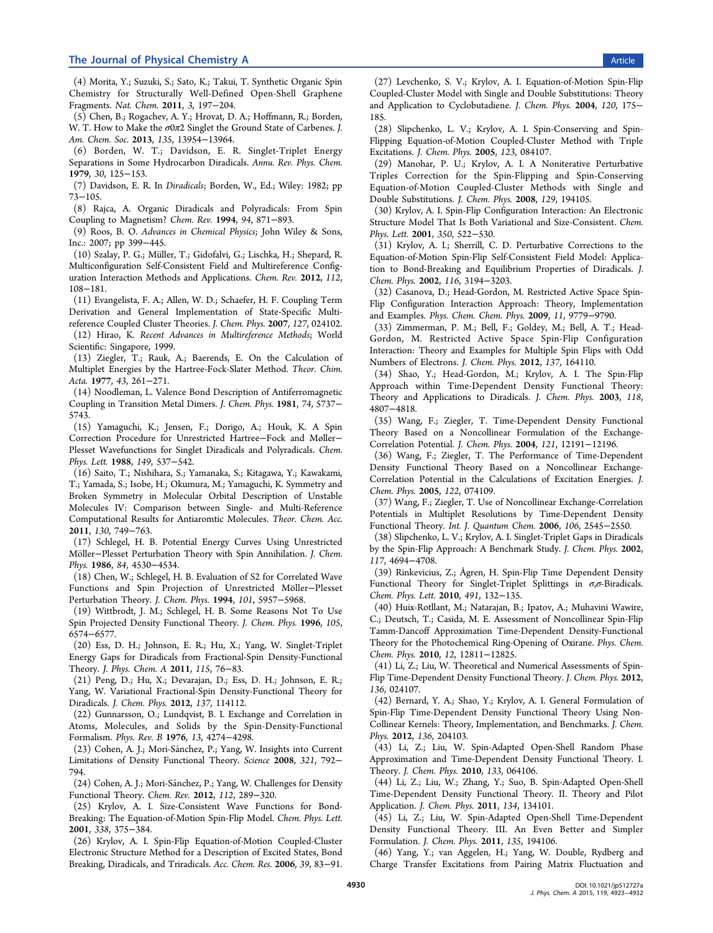<span id="page-7-0"></span>(4) Morita, Y.; Suzuki, S.; Sato, K.; Takui, T. Synthetic Organic Spin Chemistry for Structurally Well-Defined Open-Shell Graphene Fragments. Nat. Chem. 2011, 3, 197−204.

(5) Chen, B.; Rogachev, A. Y.; Hrovat, D. A.; Hoffmann, R.; Borden, W. T. How to Make the σ0π2 Singlet the Ground State of Carbenes. J. Am. Chem. Soc. 2013, 135, 13954−13964.

(6) Borden, W. T.; Davidson, E. R. Singlet-Triplet Energy Separations in Some Hydrocarbon Diradicals. Annu. Rev. Phys. Chem. 1979, 30, 125−153.

(7) Davidson, E. R. In Diradicals; Borden, W., Ed.; Wiley: 1982; pp 73−105.

(8) Rajca, A. Organic Diradicals and Polyradicals: From Spin Coupling to Magnetism? Chem. Rev. 1994, 94, 871−893.

(9) Roos, B. O. Advances in Chemical Physics; John Wiley & Sons, Inc.: 2007; pp 399−445.

(10) Szalay, P. G.; Müller, T.; Gidofalvi, G.; Lischka, H.; Shepard, R. Multiconfiguration Self-Consistent Field and Multireference Configuration Interaction Methods and Applications. Chem. Rev. 2012, 112, 108−181.

(11) Evangelista, F. A.; Allen, W. D.; Schaefer, H. F. Coupling Term Derivation and General Implementation of State-Specific Multireference Coupled Cluster Theories. J. Chem. Phys. 2007, 127, 024102.

(12) Hirao, K. Recent Advances in Multireference Methods; World Scientific: Singapore, 1999.

(13) Ziegler, T.; Rauk, A.; Baerends, E. On the Calculation of Multiplet Energies by the Hartree-Fock-Slater Method. Theor. Chim. Acta. 1977, 43, 261−271.

(14) Noodleman, L. Valence Bond Description of Antiferromagnetic Coupling in Transition Metal Dimers. J. Chem. Phys. 1981, 74, 5737− 5743.

(15) Yamaguchi, K.; Jensen, F.; Dorigo, A.; Houk, K. A Spin Correction Procedure for Unrestricted Hartree−Fock and Møller− Plesset Wavefunctions for Singlet Diradicals and Polyradicals. Chem. Phys. Lett. 1988, 149, 537−542.

(16) Saito, T.; Nishihara, S.; Yamanaka, S.; Kitagawa, Y.; Kawakami, T.; Yamada, S.; Isobe, H.; Okumura, M.; Yamaguchi, K. Symmetry and Broken Symmetry in Molecular Orbital Description of Unstable Molecules IV: Comparison between Single- and Multi-Reference Computational Results for Antiaromtic Molecules. Theor. Chem. Acc. 2011, 130, 749−763.

(17) Schlegel, H. B. Potential Energy Curves Using Unrestricted Möller−Plesset Perturbation Theory with Spin Annihilation. J. Chem. Phys. 1986, 84, 4530−4534.

(18) Chen, W.; Schlegel, H. B. Evaluation of S2 for Correlated Wave Functions and Spin Projection of Unrestricted Möller−Plesset Perturbation Theory. J. Chem. Phys. 1994, 101, 5957−5968.

(19) Wittbrodt, J. M.; Schlegel, H. B. Some Reasons Not To Use Spin Projected Density Functional Theory. J. Chem. Phys. 1996, 105, 6574−6577.

(20) Ess, D. H.; Johnson, E. R.; Hu, X.; Yang, W. Singlet-Triplet Energy Gaps for Diradicals from Fractional-Spin Density-Functional Theory. J. Phys. Chem. A 2011, 115, 76−83.

(21) Peng, D.; Hu, X.; Devarajan, D.; Ess, D. H.; Johnson, E. R.; Yang, W. Variational Fractional-Spin Density-Functional Theory for Diradicals. J. Chem. Phys. 2012, 137, 114112.

(22) Gunnarsson, O.; Lundqvist, B. I. Exchange and Correlation in Atoms, Molecules, and Solids by the Spin-Density-Functional Formalism. Phys. Rev. B 1976, 13, 4274−4298.

(23) Cohen, A. J.; Mori-Sánchez, P.; Yang, W. Insights into Current Limitations of Density Functional Theory. Science 2008, 321, 792− 794.

(24) Cohen, A. J.; Mori-Sánchez, P.; Yang, W. Challenges for Density Functional Theory. Chem. Rev. 2012, 112, 289−320.

(25) Krylov, A. I. Size-Consistent Wave Functions for Bond-Breaking: The Equation-of-Motion Spin-Flip Model. Chem. Phys. Lett. 2001, 338, 375−384.

(26) Krylov, A. I. Spin-Flip Equation-of-Motion Coupled-Cluster Electronic Structure Method for a Description of Excited States, Bond Breaking, Diradicals, and Triradicals. Acc. Chem. Res. 2006, 39, 83−91.

(27) Levchenko, S. V.; Krylov, A. I. Equation-of-Motion Spin-Flip Coupled-Cluster Model with Single and Double Substitutions: Theory and Application to Cyclobutadiene. J. Chem. Phys. 2004, 120, 175− 185.

(28) Slipchenko, L. V.; Krylov, A. I. Spin-Conserving and Spin-Flipping Equation-of-Motion Coupled-Cluster Method with Triple Excitations. J. Chem. Phys. 2005, 123, 084107.

(29) Manohar, P. U.; Krylov, A. I. A Noniterative Perturbative Triples Correction for the Spin-Flipping and Spin-Conserving Equation-of-Motion Coupled-Cluster Methods with Single and Double Substitutions. J. Chem. Phys. 2008, 129, 194105.

(30) Krylov, A. I. Spin-Flip Configuration Interaction: An Electronic Structure Model That Is Both Variational and Size-Consistent. Chem. Phys. Lett. 2001, 350, 522−530.

(31) Krylov, A. I.; Sherrill, C. D. Perturbative Corrections to the Equation-of-Motion Spin-Flip Self-Consistent Field Model: Application to Bond-Breaking and Equilibrium Properties of Diradicals. J. Chem. Phys. 2002, 116, 3194−3203.

(32) Casanova, D.; Head-Gordon, M. Restricted Active Space Spin-Flip Configuration Interaction Approach: Theory, Implementation and Examples. Phys. Chem. Chem. Phys. 2009, 11, 9779−9790.

(33) Zimmerman, P. M.; Bell, F.; Goldey, M.; Bell, A. T.; Head-Gordon, M. Restricted Active Space Spin-Flip Configuration Interaction: Theory and Examples for Multiple Spin Flips with Odd Numbers of Electrons. J. Chem. Phys. 2012, 137, 164110.

(34) Shao, Y.; Head-Gordon, M.; Krylov, A. I. The Spin-Flip Approach within Time-Dependent Density Functional Theory: Theory and Applications to Diradicals. J. Chem. Phys. 2003, 118, 4807−4818.

(35) Wang, F.; Ziegler, T. Time-Dependent Density Functional Theory Based on a Noncollinear Formulation of the Exchange-Correlation Potential. J. Chem. Phys. 2004, 121, 12191−12196.

(36) Wang, F.; Ziegler, T. The Performance of Time-Dependent Density Functional Theory Based on a Noncollinear Exchange-Correlation Potential in the Calculations of Excitation Energies. J. Chem. Phys. 2005, 122, 074109.

(37) Wang, F.; Ziegler, T. Use of Noncollinear Exchange-Correlation Potentials in Multiplet Resolutions by Time-Dependent Density Functional Theory. Int. J. Quantum Chem. 2006, 106, 2545−2550.

(38) Slipchenko, L. V.; Krylov, A. I. Singlet-Triplet Gaps in Diradicals by the Spin-Flip Approach: A Benchmark Study. J. Chem. Phys. 2002, 117, 4694−4708.

(39) Rinkevicius, Z.; Ågren, H. Spin-Flip Time Dependent Density Functional Theory for Singlet-Triplet Splittings in  $\sigma$ , $\sigma$ -Biradicals. Chem. Phys. Lett. 2010, 491, 132−135.

(40) Huix-Rotllant, M.; Natarajan, B.; Ipatov, A.; Muhavini Wawire, C.; Deutsch, T.; Casida, M. E. Assessment of Noncollinear Spin-Flip Tamm-Dancoff Approximation Time-Dependent Density-Functional Theory for the Photochemical Ring-Opening of Oxirane. Phys. Chem. Chem. Phys. 2010, 12, 12811−12825.

(41) Li, Z.; Liu, W. Theoretical and Numerical Assessments of Spin-Flip Time-Dependent Density Functional Theory. J. Chem. Phys. 2012, 136, 024107.

(42) Bernard, Y. A.; Shao, Y.; Krylov, A. I. General Formulation of Spin-Flip Time-Dependent Density Functional Theory Using Non-Collinear Kernels: Theory, Implementation, and Benchmarks. J. Chem. Phys. 2012, 136, 204103.

(43) Li, Z.; Liu, W. Spin-Adapted Open-Shell Random Phase Approximation and Time-Dependent Density Functional Theory. I. Theory. J. Chem. Phys. 2010, 133, 064106.

(44) Li, Z.; Liu, W.; Zhang, Y.; Suo, B. Spin-Adapted Open-Shell Time-Dependent Density Functional Theory. II. Theory and Pilot Application. J. Chem. Phys. 2011, 134, 134101.

(45) Li, Z.; Liu, W. Spin-Adapted Open-Shell Time-Dependent Density Functional Theory. III. An Even Better and Simpler Formulation. J. Chem. Phys. 2011, 135, 194106.

(46) Yang, Y.; van Aggelen, H.; Yang, W. Double, Rydberg and Charge Transfer Excitations from Pairing Matrix Fluctuation and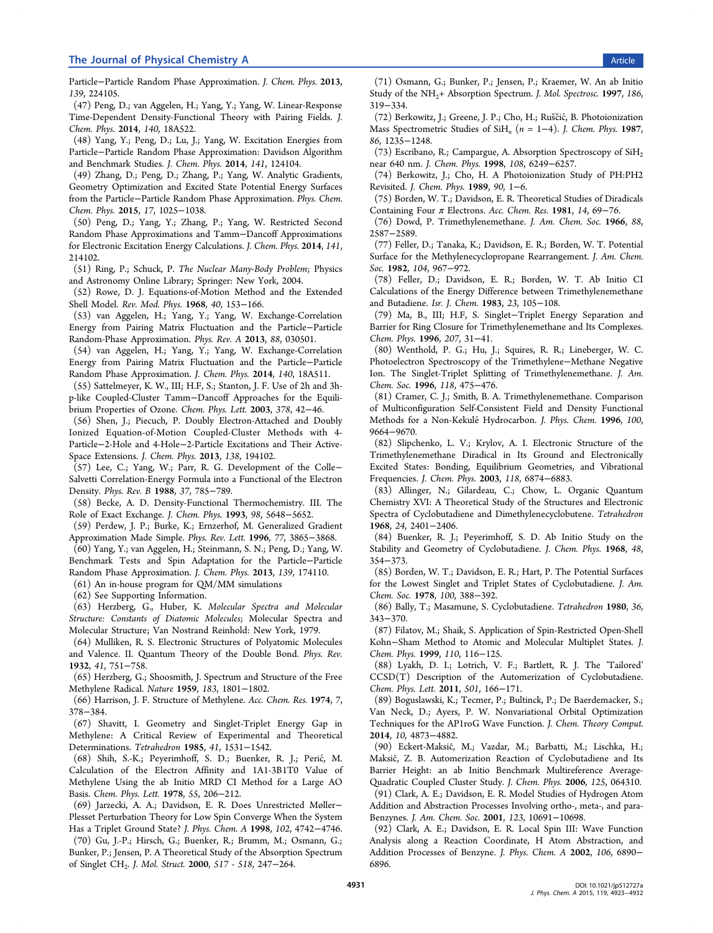<span id="page-8-0"></span>Particle−Particle Random Phase Approximation. J. Chem. Phys. 2013, 139, 224105.

(47) Peng, D.; van Aggelen, H.; Yang, Y.; Yang, W. Linear-Response Time-Dependent Density-Functional Theory with Pairing Fields. J. Chem. Phys. 2014, 140, 18A522.

(48) Yang, Y.; Peng, D.; Lu, J.; Yang, W. Excitation Energies from Particle−Particle Random Phase Approximation: Davidson Algorithm and Benchmark Studies. J. Chem. Phys. 2014, 141, 124104.

(49) Zhang, D.; Peng, D.; Zhang, P.; Yang, W. Analytic Gradients, Geometry Optimization and Excited State Potential Energy Surfaces from the Particle−Particle Random Phase Approximation. Phys. Chem. Chem. Phys. 2015, 17, 1025−1038.

(50) Peng, D.; Yang, Y.; Zhang, P.; Yang, W. Restricted Second Random Phase Approximations and Tamm−Dancoff Approximations for Electronic Excitation Energy Calculations. J. Chem. Phys. 2014, 141, 214102.

(51) Ring, P.; Schuck, P. The Nuclear Many-Body Problem; Physics and Astronomy Online Library; Springer: New York, 2004.

(52) Rowe, D. J. Equations-of-Motion Method and the Extended Shell Model. Rev. Mod. Phys. 1968, 40, 153−166.

(53) van Aggelen, H.; Yang, Y.; Yang, W. Exchange-Correlation Energy from Pairing Matrix Fluctuation and the Particle−Particle Random-Phase Approximation. Phys. Rev. A 2013, 88, 030501.

(54) van Aggelen, H.; Yang, Y.; Yang, W. Exchange-Correlation Energy from Pairing Matrix Fluctuation and the Particle−Particle Random Phase Approximation. J. Chem. Phys. 2014, 140, 18A511.

(55) Sattelmeyer, K. W., III; H.F, S.; Stanton, J. F. Use of 2h and 3hp-like Coupled-Cluster Tamm−Dancoff Approaches for the Equilibrium Properties of Ozone. Chem. Phys. Lett. 2003, 378, 42−46.

(56) Shen, J.; Piecuch, P. Doubly Electron-Attached and Doubly Ionized Equation-of-Motion Coupled-Cluster Methods with 4- Particle−2-Hole and 4-Hole−2-Particle Excitations and Their Active-Space Extensions. J. Chem. Phys. 2013, 138, 194102.

(57) Lee, C.; Yang, W.; Parr, R. G. Development of the Colle− Salvetti Correlation-Energy Formula into a Functional of the Electron Density. Phys. Rev. B 1988, 37, 785−789.

(58) Becke, A. D. Density-Functional Thermochemistry. III. The Role of Exact Exchange. J. Chem. Phys. 1993, 98, 5648−5652.

(59) Perdew, J. P.; Burke, K.; Ernzerhof, M. Generalized Gradient Approximation Made Simple. Phys. Rev. Lett. 1996, 77, 3865−3868.

(60) Yang, Y.; van Aggelen, H.; Steinmann, S. N.; Peng, D.; Yang, W. Benchmark Tests and Spin Adaptation for the Particle−Particle Random Phase Approximation. J. Chem. Phys. 2013, 139, 174110.

(61) An in-house program for QM/MM simulations

(62) See Supporting Information.

(63) Herzberg, G., Huber, K. Molecular Spectra and Molecular Structure: Constants of Diatomic Molecules; Molecular Spectra and Molecular [Structure;](#page-6-0) [Van](#page-6-0) [Nostrand](#page-6-0) Reinhold: New York, 1979.

(64) Mulliken, R. S. Electronic Structures of Polyatomic Molecules and Valence. II. Quantum Theory of the Double Bond. Phys. Rev. 1932, 41, 751−758.

(65) Herzberg, G.; Shoosmith, J. Spectrum and Structure of the Free Methylene Radical. Nature 1959, 183, 1801−1802.

(66) Harrison, J. F. Structure of Methylene. Acc. Chem. Res. 1974, 7, 378−384.

(67) Shavitt, I. Geometry and Singlet-Triplet Energy Gap in Methylene: A Critical Review of Experimental and Theoretical Determinations. Tetrahedron 1985, 41, 1531−1542.

(68) Shih, S.-K.; Peyerimhoff, S. D.; Buenker, R. J.; Peric, M. ́ Calculation of the Electron Affinity and 1A1-3B1T0 Value of Methylene Using the ab Initio MRD CI Method for a Large AO Basis. Chem. Phys. Lett. 1978, 55, 206−212.

(69) Jarzecki, A. A.; Davidson, E. R. Does Unrestricted Møller− Plesset Perturbation Theory for Low Spin Converge When the System Has a Triplet Ground State? J. Phys. Chem. A 1998, 102, 4742−4746.

(70) Gu, J.-P.; Hirsch, G.; Buenker, R.; Brumm, M.; Osmann, G.; Bunker, P.; Jensen, P. A Theoretical Study of the Absorption Spectrum of Singlet CH2. J. Mol. Struct. 2000, 517 - 518, 247−264.

(71) Osmann, G.; Bunker, P.; Jensen, P.; Kraemer, W. An ab Initio Study of the NH<sub>2</sub>+ Absorption Spectrum. J. Mol. Spectrosc. 1997, 186, 319−334.

(72) Berkowitz, J.; Greene, J. P.; Cho, H.; Ruščić, B. Photoionization Mass Spectrometric Studies of SiH<sub>n</sub> (n = 1–4). J. Chem. Phys. 1987, 86, 1235−1248.

(73) Escribano, R.; Campargue, A. Absorption Spectroscopy of  $SiH<sub>2</sub>$ near 640 nm. J. Chem. Phys. 1998, 108, 6249−6257.

(74) Berkowitz, J.; Cho, H. A Photoionization Study of PH:PH2 Revisited. J. Chem. Phys. 1989, 90, 1−6.

(75) Borden, W. T.; Davidson, E. R. Theoretical Studies of Diradicals Containing Four  $\pi$  Electrons. Acc. Chem. Res. 1981, 14, 69-76.

(76) Dowd, P. Trimethylenemethane. J. Am. Chem. Soc. 1966, 88, 2587−2589.

(77) Feller, D.; Tanaka, K.; Davidson, E. R.; Borden, W. T. Potential Surface for the Methylenecyclopropane Rearrangement. J. Am. Chem. Soc. 1982, 104, 967−972.

(78) Feller, D.; Davidson, E. R.; Borden, W. T. Ab Initio CI Calculations of the Energy Difference between Trimethylenemethane and Butadiene. Isr. J. Chem. 1983, 23, 105−108.

(79) Ma, B., III; H.F, S. Singlet−Triplet Energy Separation and Barrier for Ring Closure for Trimethylenemethane and Its Complexes. Chem. Phys. 1996, 207, 31−41.

(80) Wenthold, P. G.; Hu, J.; Squires, R. R.; Lineberger, W. C. Photoelectron Spectroscopy of the Trimethylene−Methane Negative Ion. The Singlet-Triplet Splitting of Trimethylenemethane. J. Am. Chem. Soc. 1996, 118, 475−476.

(81) Cramer, C. J.; Smith, B. A. Trimethylenemethane. Comparison of Multiconfiguration Self-Consistent Field and Density Functional Methods for a Non-KekuléHydrocarbon. J. Phys. Chem. 1996, 100, 9664−9670.

(82) Slipchenko, L. V.; Krylov, A. I. Electronic Structure of the Trimethylenemethane Diradical in Its Ground and Electronically Excited States: Bonding, Equilibrium Geometries, and Vibrational Frequencies. J. Chem. Phys. 2003, 118, 6874−6883.

(83) Allinger, N.; Gilardeau, C.; Chow, L. Organic Quantum Chemistry XVI: A Theoretical Study of the Structures and Electronic Spectra of Cyclobutadiene and Dimethylenecyclobutene. Tetrahedron 1968, 24, 2401−2406.

(84) Buenker, R. J.; Peyerimhoff, S. D. Ab Initio Study on the Stability and Geometry of Cyclobutadiene. J. Chem. Phys. 1968, 48, 354−373.

(85) Borden, W. T.; Davidson, E. R.; Hart, P. The Potential Surfaces for the Lowest Singlet and Triplet States of Cyclobutadiene. J. Am. Chem. Soc. 1978, 100, 388−392.

(86) Bally, T.; Masamune, S. Cyclobutadiene. Tetrahedron 1980, 36, 343−370.

(87) Filatov, M.; Shaik, S. Application of Spin-Restricted Open-Shell Kohn−Sham Method to Atomic and Molecular Multiplet States. J. Chem. Phys. 1999, 110, 116−125.

(88) Lyakh, D. I.; Lotrich, V. F.; Bartlett, R. J. The 'Tailored' CCSD(T) Description of the Automerization of Cyclobutadiene. Chem. Phys. Lett. 2011, 501, 166−171.

(89) Boguslawski, K.; Tecmer, P.; Bultinck, P.; De Baerdemacker, S.; Van Neck, D.; Ayers, P. W. Nonvariational Orbital Optimization Techniques for the AP1roG Wave Function. J. Chem. Theory Comput. 2014, 10, 4873−4882.

(90) Eckert-Maksic, M.; Vazdar, M.; Barbatti, M.; Lischka, H.; ́ Maksic, Z. B. Automerization Reaction of Cyclobutadiene and Its ́ Barrier Height: an ab Initio Benchmark Multireference Average-Quadratic Coupled Cluster Study. J. Chem. Phys. 2006, 125, 064310.

(91) Clark, A. E.; Davidson, E. R. Model Studies of Hydrogen Atom Addition and Abstraction Processes Involving ortho-, meta-, and para-Benzynes. J. Am. Chem. Soc. 2001, 123, 10691−10698.

(92) Clark, A. E.; Davidson, E. R. Local Spin III: Wave Function Analysis along a Reaction Coordinate, H Atom Abstraction, and Addition Processes of Benzyne. J. Phys. Chem. A 2002, 106, 6890− 6896.